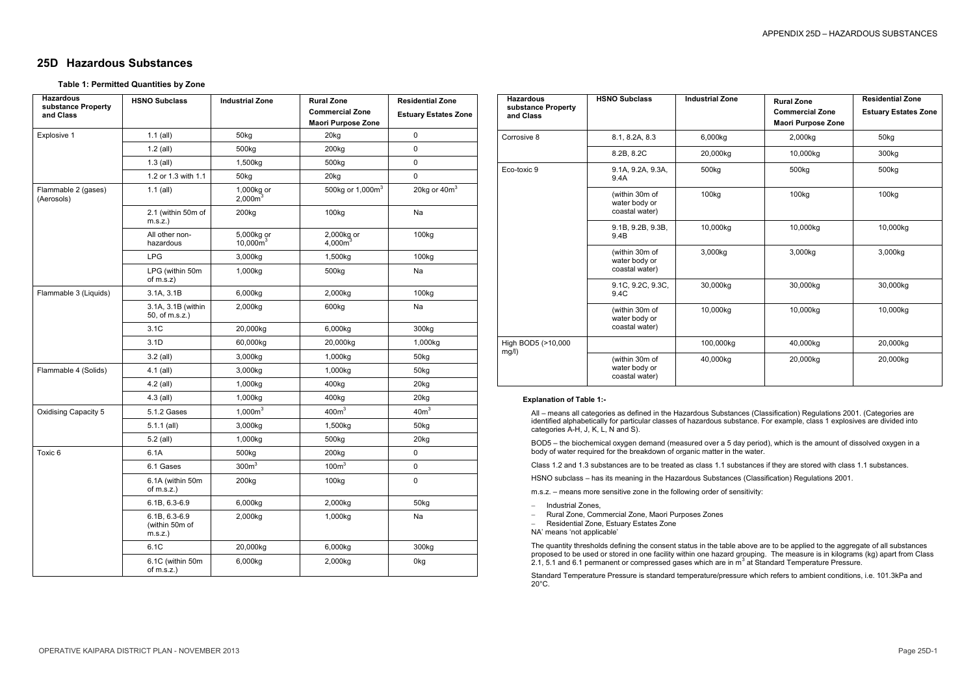## **25D Hazardous Substances**

## **Table 1: Permitted Quantities by Zone**

| <b>Hazardous</b><br>substance Property | <b>HSNO Subclass</b>                       | <b>Industrial Zone</b>      | <b>Rural Zone</b>                | <b>Residential Zone</b>     |
|----------------------------------------|--------------------------------------------|-----------------------------|----------------------------------|-----------------------------|
| and Class                              |                                            |                             | <b>Commercial Zone</b>           | <b>Estuary Estates Zone</b> |
|                                        |                                            |                             | <b>Maori Purpose Zone</b>        |                             |
| Explosive 1                            | $1.1$ (all)                                | 50kg                        | 20kg                             | 0                           |
|                                        | $1.2$ (all)                                | 500kg                       | 200kg                            | $\pmb{0}$                   |
|                                        | $1.3$ (all)                                | 1,500kg                     | 500kg                            | 0                           |
|                                        | 1.2 or 1.3 with 1.1                        | 50kg                        | 20kg                             | 0                           |
| Flammable 2 (gases)<br>(Aerosols)      | $1.1$ (all)                                | 1,000 $kg$ or<br>2,000 $m3$ | 500kg or 1,000m <sup>3</sup>     | 20kg or $40m3$              |
|                                        | 2.1 (within 50m of<br>m.s. z.              | 200kg                       | 100kg                            | Na                          |
|                                        | All other non-<br>hazardous                | 5,000kg or<br>$10,000m^3$   | 2,000kg or<br>4,000 <sup>3</sup> | 100kg                       |
|                                        | <b>LPG</b>                                 | 3,000kg                     | 1,500kg                          | 100kg                       |
|                                        | LPG (within 50m<br>of $m.s.z)$             | 1,000kg                     | 500kg                            | Na                          |
| Flammable 3 (Liquids)                  | 3.1A, 3.1B                                 | 6,000kg                     | 2,000kg                          | 100kg                       |
|                                        | 3.1A, 3.1B (within<br>50, of m.s.z.)       | 2,000kg                     | 600kg                            | Na                          |
|                                        | 3.1C                                       | 20,000kg                    | 6,000kg                          | 300kg                       |
|                                        | 3.1D                                       | 60,000kg                    | 20,000kg                         | 1,000kg                     |
|                                        | $3.2$ (all)                                | 3,000kg                     | 1,000kg                          | 50kg                        |
| Flammable 4 (Solids)                   | 4.1 (all)                                  | 3,000kg                     | 1,000kg                          | 50kg                        |
|                                        | 4.2 (all)                                  | 1,000kg                     | 400kg                            | 20kg                        |
|                                        | $4.3$ (all)                                | 1,000kg                     | 400kg                            | 20kg                        |
| Oxidising Capacity 5                   | 5.1.2 Gases                                | $1,000m^3$                  | 400m <sup>3</sup>                | 40m <sup>3</sup>            |
|                                        | $5.1.1$ (all)                              | 3,000kg                     | 1,500kg                          | 50kg                        |
|                                        | $5.2$ (all)                                | 1,000kg                     | 500kg                            | 20kg                        |
| Toxic 6                                | 6.1A                                       | 500kg                       | 200kg                            | 0                           |
|                                        | 6.1 Gases                                  | 300m <sup>3</sup>           | 100m <sup>3</sup>                | 0                           |
|                                        | 6.1A (within 50m<br>of $m.s.z$ .)          | 200kg                       | 100kg                            | $\pmb{0}$                   |
|                                        | 6.1B, 6.3-6.9                              | 6,000kg                     | 2,000kg                          | 50kg                        |
|                                        | 6.1B, 6.3-6.9<br>(within 50m of<br>m.s.z.) | 2,000kg                     | 1,000kg                          | Na                          |
|                                        | 6.1C                                       | 20,000kg                    | 6,000kg                          | 300kg                       |
|                                        | 6.1C (within 50m<br>of $m.s.z$ .)          | 6,000kg                     | 2,000kg                          | 0kg                         |

- Industrial Zones,
- Rural Zone, Commercial Zone, Maori Purposes Zones
- Residential Zone, Estuary Estates Zone
- NA' means 'not applicable'

The quantity thresholds defining the consent status in the table above are to be applied to the aggregate of all substances proposed to be used or stored in one facility within one hazard grouping. The measure is in kilograms (kg) apart from Class 2.1, 5.1 and 6.1 permanent or compressed gases which are in  $\overline{m}^3$  at Standard Temperature Pressure.

| <b>Hazardous</b><br>substance Property<br>and Class | <b>HSNO Subclass</b>                              | <b>Industrial Zone</b> | <b>Rural Zone</b>                                   | <b>Residential Zone</b>     |
|-----------------------------------------------------|---------------------------------------------------|------------------------|-----------------------------------------------------|-----------------------------|
|                                                     |                                                   |                        | <b>Commercial Zone</b><br><b>Maori Purpose Zone</b> | <b>Estuary Estates Zone</b> |
| Corrosive 8                                         | 8.1, 8.2A, 8.3                                    | 6,000kg                | 2,000kg                                             | 50kg                        |
|                                                     | 8.2B, 8.2C                                        | 20,000kg               | 10,000kg                                            | 300kg                       |
| Eco-toxic 9                                         | 9.1A, 9.2A, 9.3A,<br>9.4A                         | 500kg                  | 500kg                                               | 500kg                       |
|                                                     | (within 30m of<br>water body or<br>coastal water) | 100 <sub>kg</sub>      | 100 <sub>kg</sub>                                   | 100 <sub>kg</sub>           |
|                                                     | 9.1B, 9.2B, 9.3B,<br>9.4B                         | 10,000kg               | 10,000kg                                            | 10,000kg                    |
|                                                     | (within 30m of<br>water body or<br>coastal water) | 3,000kg                | 3,000kg                                             | 3,000kg                     |
|                                                     | 9.1C, 9.2C, 9.3C,<br>9.4C                         | 30,000kg               | 30,000kg                                            | 30,000kg                    |
|                                                     | (within 30m of<br>water body or<br>coastal water) | 10,000kg               | 10,000kg                                            | 10,000kg                    |
| High BOD5 (>10,000<br>mg/l)                         |                                                   | 100,000kg              | 40,000kg                                            | 20,000kg                    |
|                                                     | (within 30m of<br>water body or<br>coastal water) | 40,000kg               | 20,000kg                                            | 20,000kg                    |

## **Explanation of Table 1:-**

All – means all categories as defined in the Hazardous Substances (Classification) Regulations 2001. (Categories are identified alphabetically for particular classes of hazardous substance. For example, class 1 explosives are divided into categories A-H, J, K, L, N and S).

BOD5 – the biochemical oxygen demand (measured over a 5 day period), which is the amount of dissolved oxygen in a body of water required for the breakdown of organic matter in the water.

Class 1.2 and 1.3 substances are to be treated as class 1.1 substances if they are stored with class 1.1 substances.

HSNO subclass – has its meaning in the Hazardous Substances (Classification) Regulations 2001.

m.s.z. – means more sensitive zone in the following order of sensitivity:

Standard Temperature Pressure is standard temperature/pressure which refers to ambient conditions, i.e. 101.3kPa and 20°C.